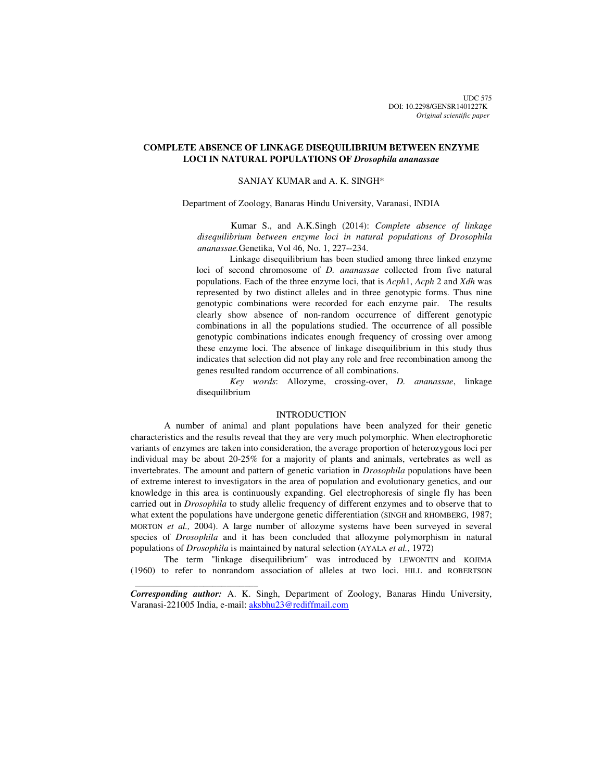# **COMPLETE ABSENCE OF LINKAGE DISEQUILIBRIUM BETWEEN ENZYME LOCI IN NATURAL POPULATIONS OF** *Drosophila ananassae*

## SANJAY KUMAR and A. K. SINGH\*

Department of Zoology, Banaras Hindu University, Varanasi, INDIA

Kumar S., and A.K.Singh (2014): *Complete absence of linkage disequilibrium between enzyme loci in natural populations of Drosophila ananassae.*Genetika, Vol 46, No. 1, 227--234.

Linkage disequilibrium has been studied among three linked enzyme loci of second chromosome of *D. ananassae* collected from five natural populations. Each of the three enzyme loci, that is *Acph*1, *Acph* 2 and *Xdh* was represented by two distinct alleles and in three genotypic forms. Thus nine genotypic combinations were recorded for each enzyme pair. The results clearly show absence of non-random occurrence of different genotypic combinations in all the populations studied. The occurrence of all possible genotypic combinations indicates enough frequency of crossing over among these enzyme loci. The absence of linkage disequilibrium in this study thus indicates that selection did not play any role and free recombination among the genes resulted random occurrence of all combinations.

*Key words*: Allozyme, crossing-over, *D. ananassae*, linkage disequilibrium

## **INTRODUCTION**

A number of animal and plant populations have been analyzed for their genetic characteristics and the results reveal that they are very much polymorphic. When electrophoretic variants of enzymes are taken into consideration, the average proportion of heterozygous loci per individual may be about 20-25% for a majority of plants and animals, vertebrates as well as invertebrates. The amount and pattern of genetic variation in *Drosophila* populations have been of extreme interest to investigators in the area of population and evolutionary genetics, and our knowledge in this area is continuously expanding. Gel electrophoresis of single fly has been carried out in *Drosophila* to study allelic frequency of different enzymes and to observe that to what extent the populations have undergone genetic differentiation (SINGH and RHOMBERG, 1987; MORTON *et al.,* 2004). A large number of allozyme systems have been surveyed in several species of *Drosophila* and it has been concluded that allozyme polymorphism in natural populations of *Drosophila* is maintained by natural selection (AYALA *et al.*, 1972)

The term "linkage disequilibrium" was introduced by LEWONTIN and KOJIMA (1960) to refer to nonrandom association of alleles at two loci. HILL and ROBERTSON

*Corresponding author:* A. K. Singh, Department of Zoology, Banaras Hindu University, Varanasi-221005 India, e-mail: aksbhu23@rediffmail.com

 $\frac{1}{2}$  , and the set of the set of the set of the set of the set of the set of the set of the set of the set of the set of the set of the set of the set of the set of the set of the set of the set of the set of the set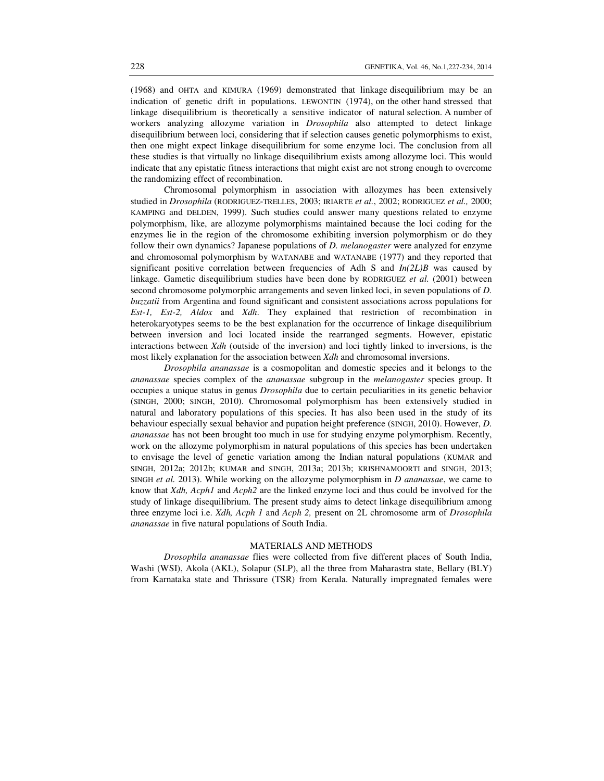(1968) and OHTA and KIMURA (1969) demonstrated that linkage disequilibrium may be an indication of genetic drift in populations. LEWONTIN (1974), on the other hand stressed that linkage disequilibrium is theoretically a sensitive indicator of natural selection. A number of workers analyzing allozyme variation in *Drosophila* also attempted to detect linkage disequilibrium between loci, considering that if selection causes genetic polymorphisms to exist, then one might expect linkage disequilibrium for some enzyme loci. The conclusion from all these studies is that virtually no linkage disequilibrium exists among allozyme loci. This would indicate that any epistatic fitness interactions that might exist are not strong enough to overcome the randomizing effect of recombination.

Chromosomal polymorphism in association with allozymes has been extensively studied in *Drosophila* (RODRIGUEZ-TRELLES, 2003; IRIARTE *et al.*, 2002; RODRIGUEZ *et al.,* 2000; KAMPING and DELDEN, 1999). Such studies could answer many questions related to enzyme polymorphism, like, are allozyme polymorphisms maintained because the loci coding for the enzymes lie in the region of the chromosome exhibiting inversion polymorphism or do they follow their own dynamics? Japanese populations of *D. melanogaster* were analyzed for enzyme and chromosomal polymorphism by WATANABE and WATANABE (1977) and they reported that significant positive correlation between frequencies of Adh S and  $In(2L)B$  was caused by linkage. Gametic disequilibrium studies have been done by RODRIGUEZ *et al.* (2001) between second chromosome polymorphic arrangements and seven linked loci, in seven populations of *D. buzzatii* from Argentina and found significant and consistent associations across populations for *Est-1, Est-2, Aldox* and *Xdh*. They explained that restriction of recombination in heterokaryotypes seems to be the best explanation for the occurrence of linkage disequilibrium between inversion and loci located inside the rearranged segments. However, epistatic interactions between *Xdh* (outside of the inversion) and loci tightly linked to inversions, is the most likely explanation for the association between *Xdh* and chromosomal inversions.

*Drosophila ananassae* is a cosmopolitan and domestic species and it belongs to the *ananassae* species complex of the *ananassae* subgroup in the *melanogaster* species group. It occupies a unique status in genus *Drosophila* due to certain peculiarities in its genetic behavior (SINGH, 2000; SINGH, 2010). Chromosomal polymorphism has been extensively studied in natural and laboratory populations of this species. It has also been used in the study of its behaviour especially sexual behavior and pupation height preference (SINGH, 2010). However, *D. ananassae* has not been brought too much in use for studying enzyme polymorphism. Recently, work on the allozyme polymorphism in natural populations of this species has been undertaken to envisage the level of genetic variation among the Indian natural populations (KUMAR and SINGH, 2012a; 2012b; KUMAR and SINGH, 2013a; 2013b; KRISHNAMOORTI and SINGH, 2013; SINGH *et al.* 2013). While working on the allozyme polymorphism in *D ananassae*, we came to know that *Xdh, Acph1* and *Acph2* are the linked enzyme loci and thus could be involved for the study of linkage disequilibrium. The present study aims to detect linkage disequilibrium among three enzyme loci i.e. *Xdh, Acph 1* and *Acph 2,* present on 2L chromosome arm of *Drosophila ananassae* in five natural populations of South India.

#### MATERIALS AND METHODS

 *Drosophila ananassae* flies were collected from five different places of South India, Washi (WSI), Akola (AKL), Solapur (SLP), all the three from Maharastra state, Bellary (BLY) from Karnataka state and Thrissure (TSR) from Kerala. Naturally impregnated females were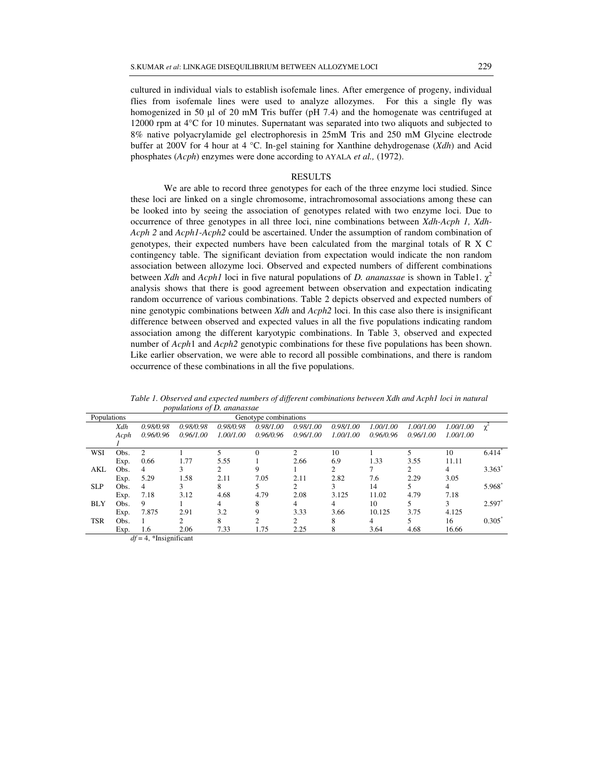cultured in individual vials to establish isofemale lines. After emergence of progeny, individual flies from isofemale lines were used to analyze allozymes. For this a single fly was homogenized in 50  $\mu$ l of 20 mM Tris buffer (pH 7.4) and the homogenate was centrifuged at 12000 rpm at 4°C for 10 minutes. Supernatant was separated into two aliquots and subjected to 8% native polyacrylamide gel electrophoresis in 25mM Tris and 250 mM Glycine electrode buffer at 200V for 4 hour at 4 °C. In-gel staining for Xanthine dehydrogenase (*Xdh*) and Acid phosphates (*Acph*) enzymes were done according to AYALA *et al.,* (1972).

## RESULTS

We are able to record three genotypes for each of the three enzyme loci studied. Since these loci are linked on a single chromosome, intrachromosomal associations among these can be looked into by seeing the association of genotypes related with two enzyme loci. Due to occurrence of three genotypes in all three loci, nine combinations between *Xdh-Acph 1, Xdh-Acph 2* and *Acph1-Acph2* could be ascertained. Under the assumption of random combination of genotypes, their expected numbers have been calculated from the marginal totals of R X C contingency table. The significant deviation from expectation would indicate the non random association between allozyme loci. Observed and expected numbers of different combinations between *Xdh* and *Acph1* loci in five natural populations of *D. ananassae* is shown in Table1.  $\chi^2$ analysis shows that there is good agreement between observation and expectation indicating random occurrence of various combinations. Table 2 depicts observed and expected numbers of nine genotypic combinations between *Xdh* and *Acph2* loci. In this case also there is insignificant difference between observed and expected values in all the five populations indicating random association among the different karyotypic combinations. In Table 3, observed and expected number of *Acph*1 and *Acph2* genotypic combinations for these five populations has been shown. Like earlier observation, we were able to record all possible combinations, and there is random occurrence of these combinations in all the five populations.

*Table 1. Observed and expected numbers of different combinations between Xdh and Acph1 loci in natural populations of D. ananassae* 

| Populations | Genotype combinations |           |           |           |               |           |           |           |           |                      |
|-------------|-----------------------|-----------|-----------|-----------|---------------|-----------|-----------|-----------|-----------|----------------------|
| Xdh         | 0.98/0.98             | 0.98/0.98 | 0.98/0.98 | 0.98/1.00 | 0.98/1.00     | 0.98/1.00 | 1.00/1.00 | 1.00/1.00 | 1.00/1.00 |                      |
| Acph        | 0.96/0.96             | 0.96/1.00 | 1.00/1.00 | 0.96/0.96 | 0.96/1.00     | 1.00/1.00 | 0.96/0.96 | 0.96/1.00 | 1.00/1.00 |                      |
|             |                       |           |           |           |               |           |           |           |           |                      |
| Obs.        | $\overline{2}$        |           |           |           | $\mathcal{L}$ | 10        |           |           | 10        | $6.414$ <sup>*</sup> |
| Exp.        | 0.66                  | 1.77      | 5.55      |           | 2.66          | 6.9       | 1.33      | 3.55      | 11.11     |                      |
| Obs.        | 4                     |           | 2         | 9         |               | 2         |           | 2         | 4         | 3.363"               |
| Exp.        | 5.29                  | 1.58      | 2.11      | 7.05      | 2.11          | 2.82      | 7.6       | 2.29      | 3.05      |                      |
| Obs.        | 4                     |           | 8         |           | 2             | 3         | 14        |           | 4         | 5.968                |
| Exp.        | 7.18                  | 3.12      | 4.68      | 4.79      | 2.08          | 3.125     | 11.02     | 4.79      | 7.18      |                      |
| Obs.        | 9                     |           | 4         | 8         | 4             | 4         | 10        | 5         | 3         | 2.597                |
| Exp.        | 7.875                 | 2.91      | 3.2       | 9         | 3.33          | 3.66      | 10.125    | 3.75      | 4.125     |                      |
| Obs.        |                       | ↑         | 8         | ◠         | 2             | 8         | 4         |           | 16        | 0.305                |
| Exp.        | 1.6                   | 2.06      | 7.33      | 1.75      | 2.25          | 8         | 3.64      | 4.68      | 16.66     |                      |
|             |                       |           |           |           |               |           |           |           |           |                      |

*df* = 4, \*Insignificant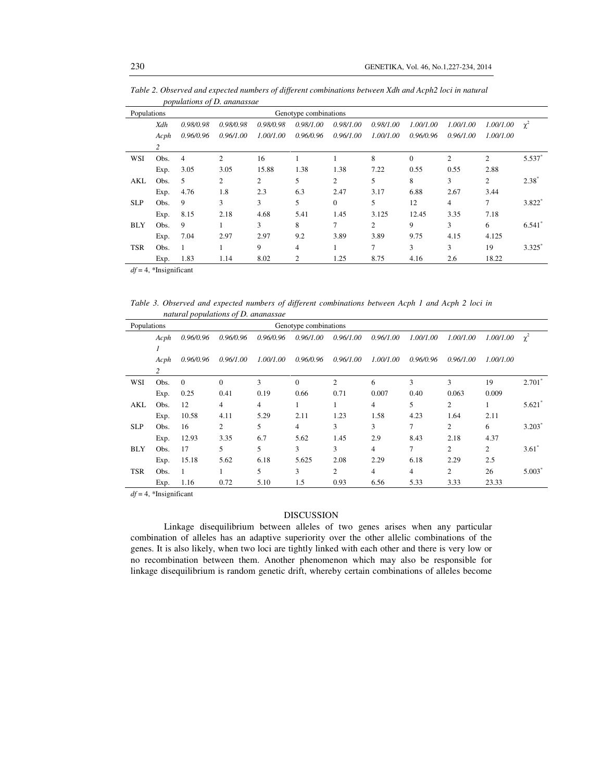*Table 2. Observed and expected numbers of different combinations between Xdh and Acph2 loci in natural populations of D. ananassae* 

| Populations |      |           |                |                | Genotype combinations |           |           |                |                |                |                      |
|-------------|------|-----------|----------------|----------------|-----------------------|-----------|-----------|----------------|----------------|----------------|----------------------|
|             | Xdh  | 0.98/0.98 | 0.98/0.98      | 0.98/0.98      | 0.98/1.00             | 0.98/1.00 | 0.98/1.00 | 1.00/1.00      | 1.00/1.00      | 1.00/1.00      | $\chi^2$             |
|             | Acph | 0.96/0.96 | 0.96/1.00      | 1.00/1.00      | 0.96/0.96             | 0.96/1.00 | 1.00/1.00 | 0.96/0.96      | 0.96/1.00      | 1.00/1.00      |                      |
|             | 2    |           |                |                |                       |           |           |                |                |                |                      |
| WSI         | Obs. | 4         | $\overline{c}$ | 16             |                       |           | 8         | $\overline{0}$ | $\overline{c}$ | $\overline{c}$ | 5.537                |
|             | Exp. | 3.05      | 3.05           | 15.88          | 1.38                  | 1.38      | 7.22      | 0.55           | 0.55           | 2.88           |                      |
| AKL         | Obs. | 5         | 2              | $\overline{2}$ | 5                     | 2         | 5         | 8              | 3              | 2              | $2.38^{\degree}$     |
|             | Exp. | 4.76      | 1.8            | 2.3            | 6.3                   | 2.47      | 3.17      | 6.88           | 2.67           | 3.44           |                      |
| <b>SLP</b>  | Obs. | 9         | 3              | 3              | 5                     | $\Omega$  | 5         | 12             | 4              | 7              | 3.822                |
|             | Exp. | 8.15      | 2.18           | 4.68           | 5.41                  | 1.45      | 3.125     | 12.45          | 3.35           | 7.18           |                      |
| <b>BLY</b>  | Obs. | 9         |                | 3              | 8                     | 7         | 2         | 9              | 3              | 6              | 6.541                |
|             | Exp. | 7.04      | 2.97           | 2.97           | 9.2                   | 3.89      | 3.89      | 9.75           | 4.15           | 4.125          |                      |
| <b>TSR</b>  | Obs. |           |                | 9              | 4                     |           | 7         | 3              | 3              | 19             | $3.325$ <sup>*</sup> |
|             | Exp. | 1.83      | 1.14           | 8.02           | $\overline{c}$        | 1.25      | 8.75      | 4.16           | 2.6            | 18.22          |                      |

*df* = 4, \*Insignificant

*Table 3. Observed and expected numbers of different combinations between Acph 1 and Acph 2 loci in natural populations of D. ananassae* 

| Populations |      |              |           |           | Genotype combinations |                |           |           |                |           |          |
|-------------|------|--------------|-----------|-----------|-----------------------|----------------|-----------|-----------|----------------|-----------|----------|
|             | Acph | 0.96/0.96    | 0.96/0.96 | 0.96/0.96 | 0.96/1.00             | 0.96/1.00      | 0.96/1.00 | 1.00/1.00 | 1.00/1.00      | 1.00/1.00 | $\chi^2$ |
|             |      |              |           |           |                       |                |           |           |                |           |          |
|             | Acph | 0.96/0.96    | 0.96/1.00 | 1.00/1.00 | 0.96/0.96             | 0.96/1.00      | 1.00/1.00 | 0.96/0.96 | 0.96/1.00      | 1.00/1.00 |          |
|             | 2    |              |           |           |                       |                |           |           |                |           |          |
| WSI         | Obs. | $\mathbf{0}$ | $\Omega$  | 3         | $\mathbf{0}$          | $\overline{c}$ | 6         | 3         | 3              | 19        | 2.701    |
|             | Exp. | 0.25         | 0.41      | 0.19      | 0.66                  | 0.71           | 0.007     | 0.40      | 0.063          | 0.009     |          |
| AKL         | Obs. | 12           | 4         | 4         | 1                     |                | 4         | 5         | $\overline{c}$ |           | 5.621    |
|             | Exp. | 10.58        | 4.11      | 5.29      | 2.11                  | 1.23           | 1.58      | 4.23      | 1.64           | 2.11      |          |
| <b>SLP</b>  | Obs. | 16           | 2         | 5         | 4                     | 3              | 3         | 7         | $\mathfrak{2}$ | 6         | 3.203    |
|             | Exp. | 12.93        | 3.35      | 6.7       | 5.62                  | 1.45           | 2.9       | 8.43      | 2.18           | 4.37      |          |
| <b>BLY</b>  | Obs. | 17           | 5         | 5         | 3                     | 3              | 4         | 7         | 2              | 2         | $3.61*$  |
|             | Exp. | 15.18        | 5.62      | 6.18      | 5.625                 | 2.08           | 2.29      | 6.18      | 2.29           | 2.5       |          |
| <b>TSR</b>  | Obs. |              |           | 5         | 3                     | 2              | 4         | 4         | 2              | 26        | 5.003    |
|             | Exp. | 1.16         | 0.72      | 5.10      | 1.5                   | 0.93           | 6.56      | 5.33      | 3.33           | 23.33     |          |

*df* = 4, \*Insignificant

## DISCUSSION

Linkage disequilibrium between alleles of two genes arises when any particular combination of alleles has an adaptive superiority over the other allelic combinations of the genes. It is also likely, when two loci are tightly linked with each other and there is very low or no recombination between them. Another phenomenon which may also be responsible for linkage disequilibrium is random genetic drift, whereby certain combinations of alleles become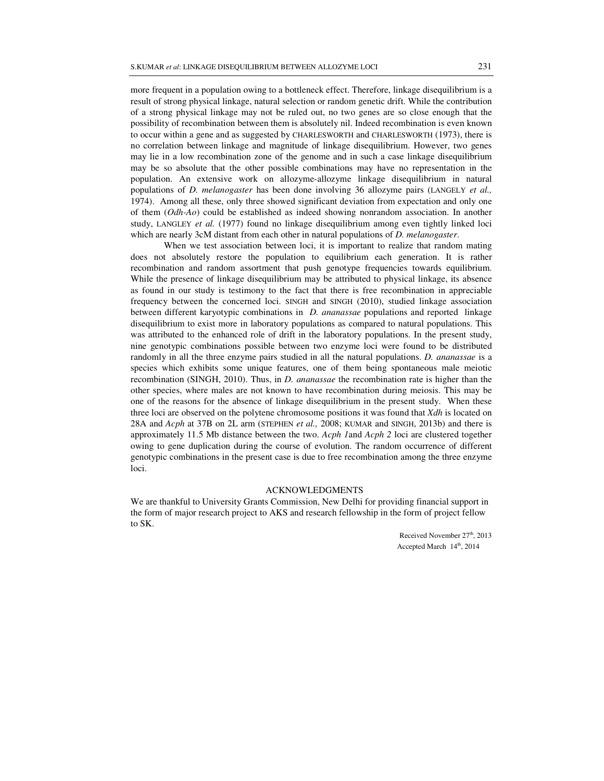more frequent in a population owing to a bottleneck effect. Therefore, linkage disequilibrium is a result of strong physical linkage, natural selection or random genetic drift. While the contribution of a strong physical linkage may not be ruled out, no two genes are so close enough that the possibility of recombination between them is absolutely nil. Indeed recombination is even known to occur within a gene and as suggested by CHARLESWORTH and CHARLESWORTH (1973), there is no correlation between linkage and magnitude of linkage disequilibrium. However, two genes may lie in a low recombination zone of the genome and in such a case linkage disequilibrium may be so absolute that the other possible combinations may have no representation in the population. An extensive work on allozyme-allozyme linkage disequilibrium in natural populations of *D. melanogaster* has been done involving 36 allozyme pairs (LANGELY *et al.,* 1974). Among all these, only three showed significant deviation from expectation and only one of them (*Odh-Ao*) could be established as indeed showing nonrandom association. In another study, LANGLEY *et al.* (1977) found no linkage disequilibrium among even tightly linked loci which are nearly 3cM distant from each other in natural populations of *D. melanogaster*.

When we test association between loci, it is important to realize that random mating does not absolutely restore the population to equilibrium each generation. It is rather recombination and random assortment that push genotype frequencies towards equilibrium. While the presence of linkage disequilibrium may be attributed to physical linkage, its absence as found in our study is testimony to the fact that there is free recombination in appreciable frequency between the concerned loci. SINGH and SINGH (2010), studied linkage association between different karyotypic combinations in *D. ananassae* populations and reported linkage disequilibrium to exist more in laboratory populations as compared to natural populations. This was attributed to the enhanced role of drift in the laboratory populations. In the present study, nine genotypic combinations possible between two enzyme loci were found to be distributed randomly in all the three enzyme pairs studied in all the natural populations. *D. ananassae* is a species which exhibits some unique features, one of them being spontaneous male meiotic recombination (SINGH, 2010). Thus, in *D. ananassae* the recombination rate is higher than the other species, where males are not known to have recombination during meiosis. This may be one of the reasons for the absence of linkage disequilibrium in the present study. When these three loci are observed on the polytene chromosome positions it was found that *Xdh* is located on 28A and *Acph* at 37B on 2L arm (STEPHEN *et al.,* 2008; KUMAR and SINGH, 2013b) and there is approximately 11.5 Mb distance between the two. *Acph 1*and *Acph 2* loci are clustered together owing to gene duplication during the course of evolution. The random occurrence of different genotypic combinations in the present case is due to free recombination among the three enzyme loci.

## ACKNOWLEDGMENTS

We are thankful to University Grants Commission, New Delhi for providing financial support in the form of major research project to AKS and research fellowship in the form of project fellow to SK.

> Received November 27<sup>th</sup>, 2013 Accepted March  $14<sup>th</sup>$ , 2014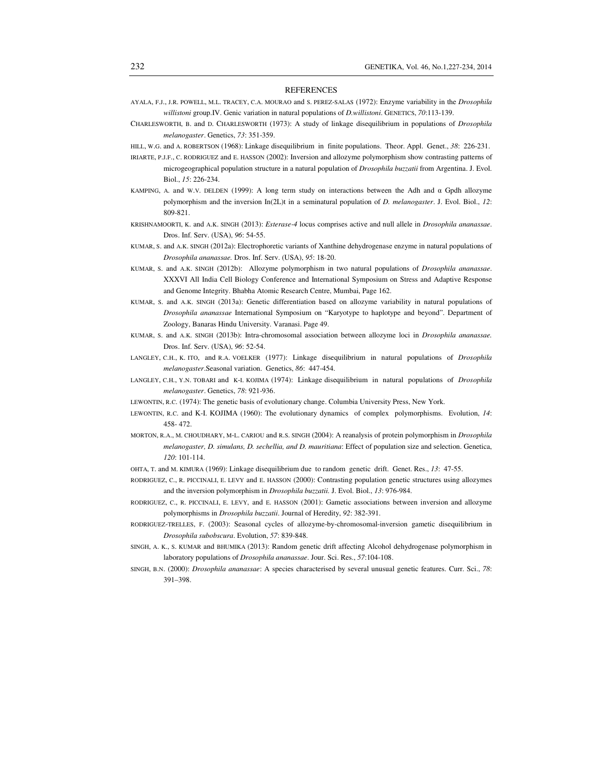#### REFERENCES

- AYALA, F.J., J.R. POWELL, M.L. TRACEY, C.A. MOURAO and S. PEREZ-SALAS (1972): Enzyme variability in the *Drosophila willistoni* group.IV. Genic variation in natural populations of *D.willistoni*. GENETICS, *70*:113-139.
- CHARLESWORTH, B. and D. CHARLESWORTH (1973): A study of linkage disequilibrium in populations of *Drosophila melanogaster*. Genetics, *73*: 351-359.
- HILL, W.G. and A. ROBERTSON (1968): Linkage disequilibrium in finite populations. Theor. Appl. Genet., *38*: 226-231.
- IRIARTE, P.J.F., C. RODRIGUEZ and E. HASSON (2002): Inversion and allozyme polymorphism show contrasting patterns of microgeographical population structure in a natural population of *Drosophila buzzatii* from Argentina. J. Evol. Biol., *15*: 226-234.
- KAMPING, A. and W.V. DELDEN (1999): A long term study on interactions between the Adh and  $\alpha$  Gpdh allozyme polymorphism and the inversion In(2L)t in a seminatural population of *D. melanogaster*. J. Evol. Biol., *12*: 809-821.
- KRISHNAMOORTI, K. and A.K. SINGH (2013): *Esterase-4* locus comprises active and null allele in *Drosophila ananassae*. Dros. Inf. Serv. (USA), *96*: 54-55.
- KUMAR, S. and A.K. SINGH (2012a): Electrophoretic variants of Xanthine dehydrogenase enzyme in natural populations of *Drosophila ananassae.* Dros. Inf. Serv. (USA), *95*: 18-20.
- KUMAR, S. and A.K. SINGH (2012b): Allozyme polymorphism in two natural populations of *Drosophila ananassae*. XXXVI All India Cell Biology Conference and International Symposium on Stress and Adaptive Response and Genome Integrity. Bhabha Atomic Research Centre, Mumbai, Page 162.
- KUMAR, S. and A.K. SINGH (2013a): Genetic differentiation based on allozyme variability in natural populations of *Drosophila ananassae* International Symposium on "Karyotype to haplotype and beyond". Department of Zoology, Banaras Hindu University. Varanasi. Page 49.
- KUMAR, S. and A.K. SINGH (2013b): Intra-chromosomal association between allozyme loci in *Drosophila ananassae.*  Dros. Inf. Serv. (USA), *96*: 52-54.
- LANGLEY, C.H., K. ITO, and R.A. VOELKER (1977): Linkage disequilibrium in natural populations of *Drosophila melanogaster*.Seasonal variation. Genetics, *86*: 447-454.
- LANGLEY, C.H., Y.N. TOBARI and K-I. KOJIMA (1974): Linkage disequilibrium in natural populations of *Drosophila melanogaster*. Genetics, *78*: 921-936.

LEWONTIN, R.C. (1974): The genetic basis of evolutionary change. Columbia University Press, New York.

- LEWONTIN, R.C. and K-I. KOJIMA (1960): The evolutionary dynamics of complex polymorphisms. Evolution, *14*: 458- 472.
- MORTON, R.A., M. CHOUDHARY, M-L. CARIOU and R.S. SINGH (2004): A reanalysis of protein polymorphism in *Drosophila melanogaster, D. simulans, D. sechellia, and D. mauritiana*: Effect of population size and selection. Genetica, *120*: 101-114.
- OHTA, T. and M. KIMURA (1969): Linkage disequilibrium due to random genetic drift. Genet. Res., *13*: 47-55.
- RODRIGUEZ, C., R. PICCINALI, E. LEVY and E. HASSON (2000): Contrasting population genetic structures using allozymes and the inversion polymorphism in *Drosophila buzzatii.* J. Evol. Biol., *13*: 976-984.
- RODRIGUEZ, C., R. PICCINALI, E. LEVY, and E. HASSON (2001): Gametic associations between inversion and allozyme polymorphisms in *Drosophila buzzatii*. Journal of Heredity, *92*: 382-391.
- RODRIGUEZ-TRELLES, F. (2003): Seasonal cycles of allozyme-by-chromosomal-inversion gametic disequilibrium in *Drosophila subobscura*. Evolution, *57*: 839-848.
- SINGH, A. K., S. KUMAR and BHUMIKA (2013): Random genetic drift affecting Alcohol dehydrogenase polymorphism in laboratory populations of *Drosophila ananassae*. Jour. Sci. Res., *57*:104-108.
- SINGH, B.N. (2000): *Drosophila ananassae*: A species characterised by several unusual genetic features. Curr. Sci., *78*: 391–398.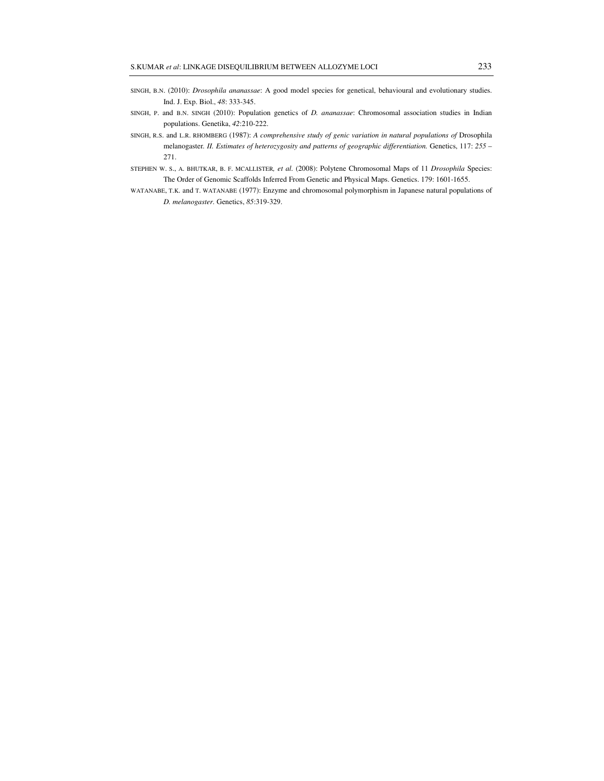- SINGH, B.N. (2010): *Drosophila ananassae*: A good model species for genetical, behavioural and evolutionary studies. Ind. J. Exp. Biol., *48*: 333-345.
- SINGH, P. and B.N. SINGH (2010): Population genetics of *D. ananassae*: Chromosomal association studies in Indian populations. Genetika, *42*:210-222.
- SINGH, R.S. and L.R. RHOMBERG (1987): *A comprehensive study of genic variation in natural populations of* Drosophila melanogaster*. II. Estimates of heterozygosity and patterns of geographic differentiation.* Genetics, 117: *255* – 271.
- STEPHEN W. S., A. BHUTKAR, B. F. MCALLISTER*, et al.* (2008): Polytene Chromosomal Maps of 11 *Drosophila* Species: The Order of Genomic Scaffolds Inferred From Genetic and Physical Maps. Genetics. 179: 1601-1655.
- WATANABE, T.K. and T. WATANABE (1977): Enzyme and chromosomal polymorphism in Japanese natural populations of *D. melanogaster.* Genetics, *85*:319-329.